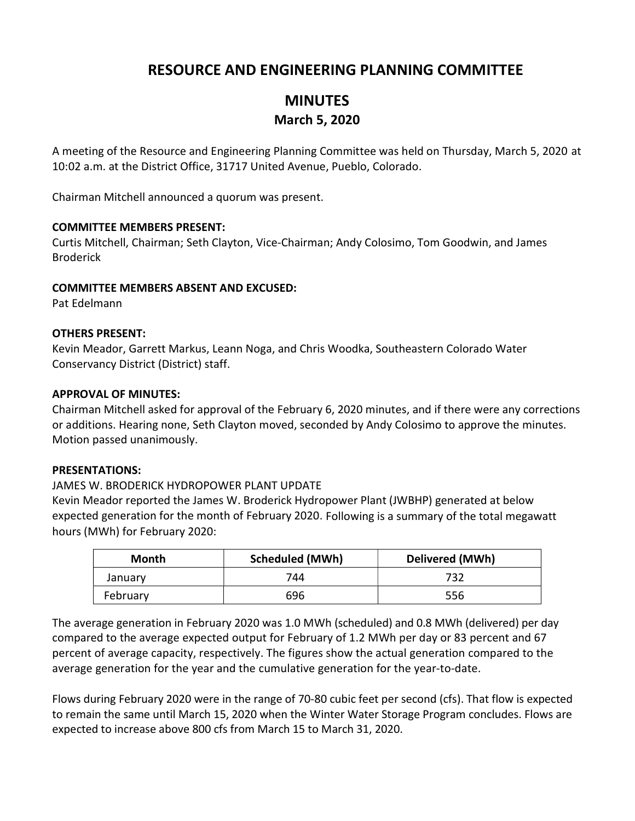## RESOURCE AND ENGINEERING PLANNING COMMITTEE

## MINUTES March 5, 2020

A meeting of the Resource and Engineering Planning Committee was held on Thursday, March 5, 2020 at 10:02 a.m. at the District Office, 31717 United Avenue, Pueblo, Colorado.

Chairman Mitchell announced a quorum was present.

### COMMITTEE MEMBERS PRESENT:

Curtis Mitchell, Chairman; Seth Clayton, Vice-Chairman; Andy Colosimo, Tom Goodwin, and James Broderick

### COMMITTEE MEMBERS ABSENT AND EXCUSED:

Pat Edelmann

### OTHERS PRESENT:

Kevin Meador, Garrett Markus, Leann Noga, and Chris Woodka, Southeastern Colorado Water Conservancy District (District) staff.

### APPROVAL OF MINUTES:

Chairman Mitchell asked for approval of the February 6, 2020 minutes, and if there were any corrections or additions. Hearing none, Seth Clayton moved, seconded by Andy Colosimo to approve the minutes. Motion passed unanimously.

#### PRESENTATIONS:

### JAMES W. BRODERICK HYDROPOWER PLANT UPDATE

Kevin Meador reported the James W. Broderick Hydropower Plant (JWBHP) generated at below expected generation for the month of February 2020. Following is a summary of the total megawatt hours (MWh) for February 2020:

| Month    | <b>Scheduled (MWh)</b> | Delivered (MWh) |
|----------|------------------------|-----------------|
| January  | 744                    | 732             |
| February | 696                    | 556             |

The average generation in February 2020 was 1.0 MWh (scheduled) and 0.8 MWh (delivered) per day compared to the average expected output for February of 1.2 MWh per day or 83 percent and 67 percent of average capacity, respectively. The figures show the actual generation compared to the average generation for the year and the cumulative generation for the year-to-date.

Flows during February 2020 were in the range of 70-80 cubic feet per second (cfs). That flow is expected to remain the same until March 15, 2020 when the Winter Water Storage Program concludes. Flows are expected to increase above 800 cfs from March 15 to March 31, 2020.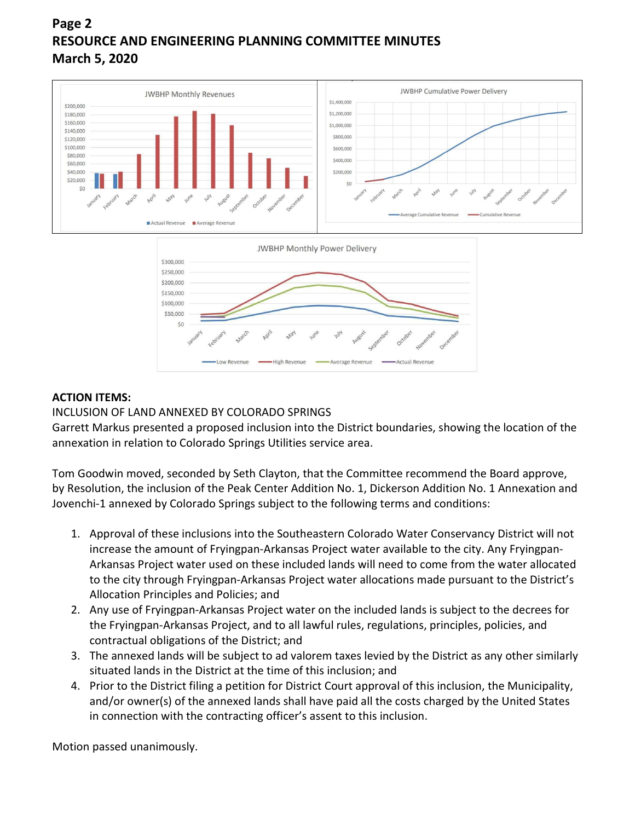# Page 2 RESOURCE AND ENGINEERING PLANNING COMMITTEE MINUTES March 5, 2020



### ACTION ITEMS:

### INCLUSION OF LAND ANNEXED BY COLORADO SPRINGS

 $50$ 

Garrett Markus presented a proposed inclusion into the District boundaries, showing the location of the annexation in relation to Colorado Springs Utilities service area.

**High Revenue** 

Tom Goodwin moved, seconded by Seth Clayton, that the Committee recommend the Board approve, by Resolution, the inclusion of the Peak Center Addition No. 1, Dickerson Addition No. 1 Annexation and Jovenchi-1 annexed by Colorado Springs subject to the following terms and conditions:

- 1. Approval of these inclusions into the Southeastern Colorado Water Conservancy District will not increase the amount of Fryingpan-Arkansas Project water available to the city. Any Fryingpan-Arkansas Project water used on these included lands will need to come from the water allocated to the city through Fryingpan-Arkansas Project water allocations made pursuant to the District's Allocation Principles and Policies; and
- 2. Any use of Fryingpan-Arkansas Project water on the included lands is subject to the decrees for the Fryingpan-Arkansas Project, and to all lawful rules, regulations, principles, policies, and contractual obligations of the District; and
- 3. The annexed lands will be subject to ad valorem taxes levied by the District as any other similarly situated lands in the District at the time of this inclusion; and
- 4. Prior to the District filing a petition for District Court approval of this inclusion, the Municipality, and/or owner(s) of the annexed lands shall have paid all the costs charged by the United States in connection with the contracting officer's assent to this inclusion.

Motion passed unanimously.